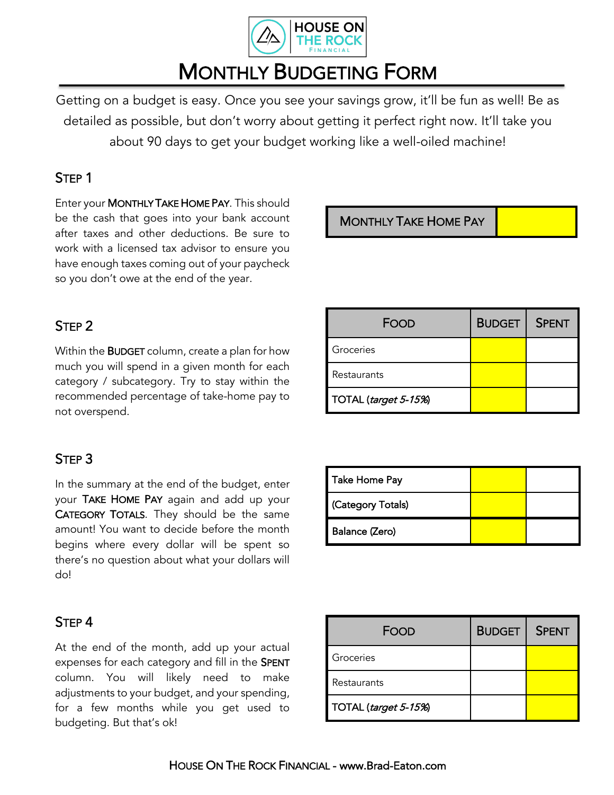

# MONTHLY BUDGETING FORM

Getting on a budget is easy. Once you see your savings grow, it'll be fun as well! Be as detailed as possible, but don't worry about getting it perfect right now. It'll take you about 90 days to get your budget working like a well-oiled machine!

#### STEP 1

Enter your MONTHLY TAKE HOME PAY. This should be the cash that goes into your bank account after taxes and other deductions. Be sure to work with a licensed tax advisor to ensure you have enough taxes coming out of your paycheck so you don't owe at the end of the year.

#### MONTHLY TAKE HOME PAY

### STEP 2

Within the BUDGET column, create a plan for how much you will spend in a given month for each category / subcategory. Try to stay within the recommended percentage of take-home pay to not overspend.

### STEP 3

In the summary at the end of the budget, enter your TAKE HOME PAY again and add up your CATEGORY TOTALS. They should be the same amount! You want to decide before the month begins where every dollar will be spent so there's no question about what your dollars will do!

| FOOD                 | <b>BUDGET</b> | <b>SPENT</b> |
|----------------------|---------------|--------------|
| Groceries            |               |              |
| Restaurants          |               |              |
| TOTAL (target 5-15%) |               |              |

| Take Home Pay     |  |
|-------------------|--|
| (Category Totals) |  |
| Balance (Zero)    |  |

### STEP 4

At the end of the month, add up your actual expenses for each category and fill in the SPENT column. You will likely need to make adjustments to your budget, and your spending, for a few months while you get used to budgeting. But that's ok!

| FOOD                 | <b>BUDGET</b> | <b>SPENT</b> |
|----------------------|---------------|--------------|
| Groceries            |               |              |
| Restaurants          |               |              |
| TOTAL (target 5-15%) |               |              |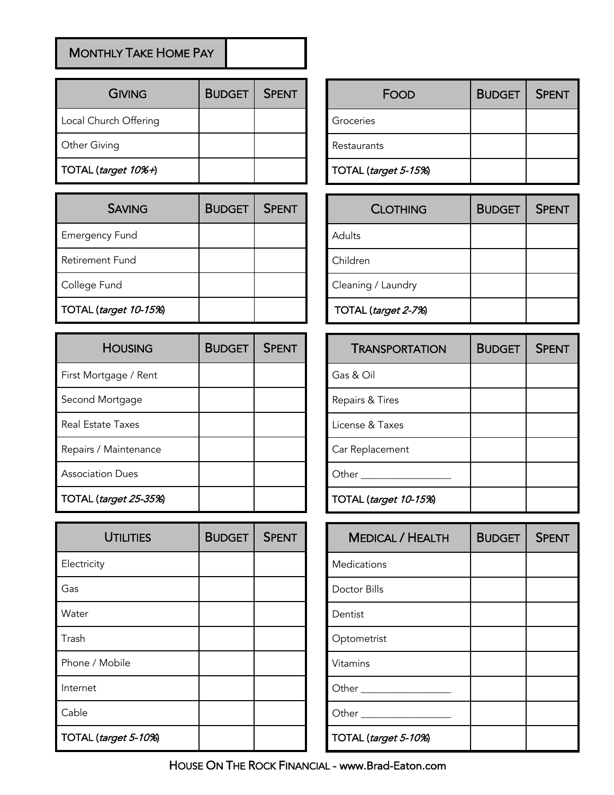## MONTHLY TAKE HOME PAY

| <b>GIVING</b>         | <b>BUDGET</b> | <b>SPENT</b> |
|-----------------------|---------------|--------------|
| Local Church Offering |               |              |
| Other Giving          |               |              |
| TOTAL (target 10%+)   |               |              |

| <b>SAVING</b>          | <b>BUDGET</b> | <b>SPENT</b> |
|------------------------|---------------|--------------|
| <b>Emergency Fund</b>  |               |              |
| <b>Retirement Fund</b> |               |              |
| College Fund           |               |              |
| TOTAL (target 10-15%)  |               |              |

| <b>HOUSING</b>               | <b>BUDGET</b> | <b>SPENT</b> |
|------------------------------|---------------|--------------|
| First Mortgage / Rent        |               |              |
| Second Mortgage              |               |              |
| Real Estate Taxes            |               |              |
| Repairs / Maintenance        |               |              |
| <b>Association Dues</b>      |               |              |
| <b>TOTAL</b> (target 25-35%) |               |              |

| <b>UTILITIES</b>     | <b>BUDGET</b> | <b>SPENT</b> |
|----------------------|---------------|--------------|
| Electricity          |               |              |
| Gas                  |               |              |
| Water                |               |              |
| Trash                |               |              |
| Phone / Mobile       |               |              |
| Internet             |               |              |
| Cable                |               |              |
| TOTAL (target 5-10%) |               |              |

| FOOD                 | <b>BUDGET</b> | <b>SPENT</b> |
|----------------------|---------------|--------------|
| Groceries            |               |              |
| Restaurants          |               |              |
| TOTAL (target 5-15%) |               |              |

| <b>CLOTHING</b>     | <b>BUDGET</b> | <b>SPENT</b> |
|---------------------|---------------|--------------|
| Adults              |               |              |
| Children            |               |              |
| Cleaning / Laundry  |               |              |
| TOTAL (target 2-7%) |               |              |

| <b>TRANSPORTATION</b> | <b>BUDGET</b> | <b>SPENT</b> |
|-----------------------|---------------|--------------|
| Gas & Oil             |               |              |
| Repairs & Tires       |               |              |
| License & Taxes       |               |              |
| Car Replacement       |               |              |
| Other                 |               |              |
| TOTAL (target 10-15%) |               |              |

| <b>MEDICAL / HEALTH</b>     | <b>BUDGET</b> | <b>SPENT</b> |
|-----------------------------|---------------|--------------|
| <b>Medications</b>          |               |              |
| Doctor Bills                |               |              |
| Dentist                     |               |              |
| Optometrist                 |               |              |
| Vitamins                    |               |              |
| Other _____________________ |               |              |
| Other __________________    |               |              |
| TOTAL (target 5-10%)        |               |              |